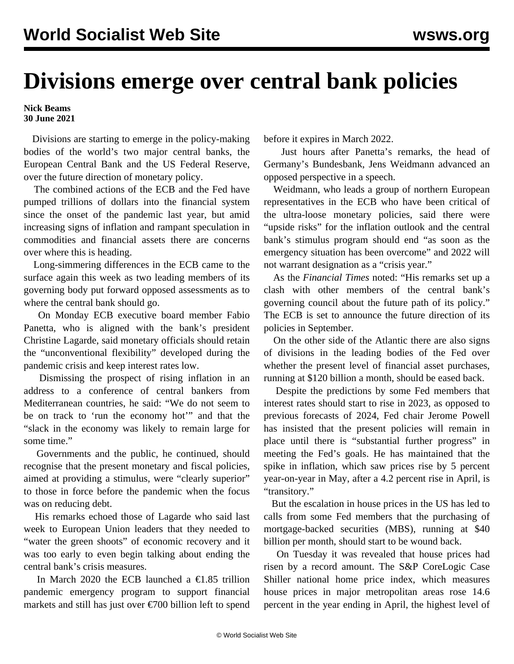## **Divisions emerge over central bank policies**

## **Nick Beams 30 June 2021**

 Divisions are starting to emerge in the policy-making bodies of the world's two major central banks, the European Central Bank and the US Federal Reserve, over the future direction of monetary policy.

 The combined actions of the ECB and the Fed have pumped trillions of dollars into the financial system since the onset of the pandemic last year, but amid increasing signs of inflation and rampant speculation in commodities and financial assets there are concerns over where this is heading.

 Long-simmering differences in the ECB came to the surface again this week as two leading members of its governing body put forward opposed assessments as to where the central bank should go.

 On Monday ECB executive board member Fabio Panetta, who is aligned with the bank's president Christine Lagarde, said monetary officials should retain the "unconventional flexibility" developed during the pandemic crisis and keep interest rates low.

 Dismissing the prospect of rising inflation in an address to a conference of central bankers from Mediterranean countries, he said: "We do not seem to be on track to 'run the economy hot'" and that the "slack in the economy was likely to remain large for some time."

 Governments and the public, he continued, should recognise that the present monetary and fiscal policies, aimed at providing a stimulus, were "clearly superior" to those in force before the pandemic when the focus was on reducing debt.

 His remarks echoed those of Lagarde who said last week to European Union leaders that they needed to "water the green shoots" of economic recovery and it was too early to even begin talking about ending the central bank's crisis measures.

In March 2020 the ECB launched a  $\text{\textsterling}1.85$  trillion pandemic emergency program to support financial markets and still has just over €700 billion left to spend before it expires in March 2022.

 Just hours after Panetta's remarks, the head of Germany's Bundesbank, Jens Weidmann advanced an opposed perspective in a speech.

 Weidmann, who leads a group of northern European representatives in the ECB who have been critical of the ultra-loose monetary policies, said there were "upside risks" for the inflation outlook and the central bank's stimulus program should end "as soon as the emergency situation has been overcome" and 2022 will not warrant designation as a "crisis year."

 As the *Financial Times* noted: "His remarks set up a clash with other members of the central bank's governing council about the future path of its policy." The ECB is set to announce the future direction of its policies in September.

 On the other side of the Atlantic there are also signs of divisions in the leading bodies of the Fed over whether the present level of financial asset purchases, running at \$120 billion a month, should be eased back.

 Despite the predictions by some Fed members that interest rates should start to rise in 2023, as opposed to previous forecasts of 2024, Fed chair Jerome Powell has insisted that the present policies will remain in place until there is "substantial further progress" in meeting the Fed's goals. He has maintained that the spike in inflation, which saw prices rise by 5 percent year-on-year in May, after a 4.2 percent rise in April, is "transitory."

 But the escalation in house prices in the US has led to calls from some Fed members that the purchasing of mortgage-backed securities (MBS), running at \$40 billion per month, should start to be wound back.

 On Tuesday it was revealed that house prices had risen by a record amount. The S&P CoreLogic Case Shiller national home price index, which measures house prices in major metropolitan areas rose 14.6 percent in the year ending in April, the highest level of